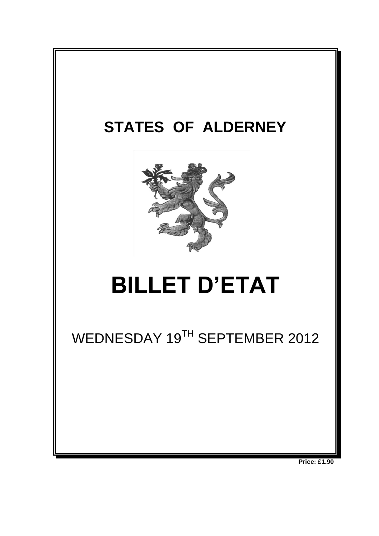

**Price: £1.90**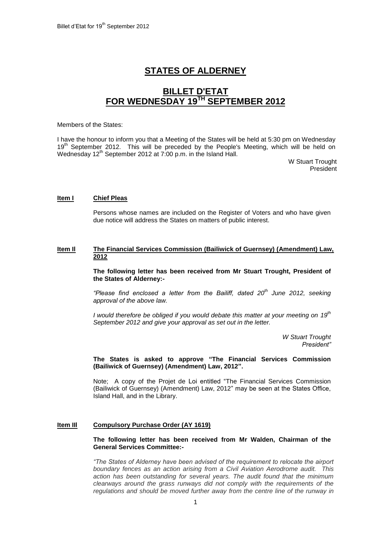# **STATES OF ALDERNEY**

## **BILLET D'ETAT FOR WEDNESDAY 19 TH SEPTEMBER 2012**

#### Members of the States:

I have the honour to inform you that a Meeting of the States will be held at 5:30 pm on Wednesday 19<sup>th</sup> September 2012. This will be preceded by the People's Meeting, which will be held on Wednesday 12<sup>th</sup> September 2012 at 7:00 p.m. in the Island Hall.

> W Stuart Trought President

## **Item I Chief Pleas**

Persons whose names are included on the Register of Voters and who have given due notice will address the States on matters of public interest.

## **Item Il The Financial Services Commission (Bailiwick of Guernsey) (Amendment) Law, 2012**

**The following letter has been received from Mr Stuart Trought, President of the States of Alderney:-**

*"Please find enclosed a letter from the Bailiff, dated 20th June 2012, seeking approval of the above law.*

*I would therefore be obliged if you would debate this matter at your meeting on 19th September 2012 and give your approval as set out in the letter.*

> *W Stuart Trought President"*

**The States is asked to approve "The Financial Services Commission (Bailiwick of Guernsey) (Amendment) Law, 2012".**

Note; A copy of the Projet de Loi entitled "The Financial Services Commission (Bailiwick of Guernsey) (Amendment) Law, 2012" may be seen at the States Office, Island Hall, and in the Library.

## **Item IIl Compulsory Purchase Order (AY 1619)**

**The following letter has been received from Mr Walden, Chairman of the General Services Committee:-**

*"The States of Alderney have been advised of the requirement to relocate the airport boundary fences as an action arising from a Civil Aviation Aerodrome audit. This action has been outstanding for several years. The audit found that the minimum clearways around the grass runways did not comply with the requirements of the regulations and should be moved further away from the centre line of the runway in*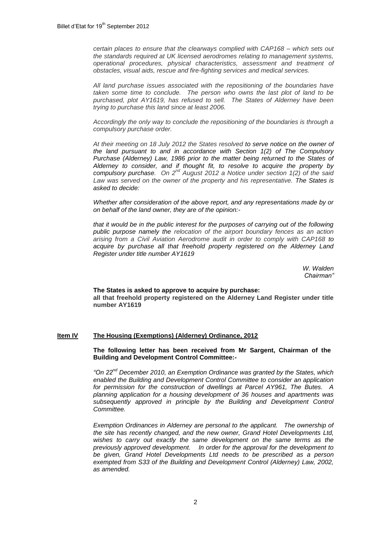*certain places to ensure that the clearways complied with CAP168 – which sets out the standards required at UK licensed aerodromes relating to management systems, operational procedures, physical characteristics, assessment and treatment of obstacles, visual aids, rescue and fire-fighting services and medical services.*

*All land purchase issues associated with the repositioning of the boundaries have taken some time to conclude. The person who owns the last plot of land to be purchased, plot AY1619, has refused to sell. The States of Alderney have been trying to purchase this land since at least 2006.* 

*Accordingly the only way to conclude the repositioning of the boundaries is through a compulsory purchase order.*

*At their meeting on 18 July 2012 the States resolved to serve notice on the owner of the land pursuant to and in accordance with Section 1(2) of The Compulsory Purchase (Alderney) Law, 1986 prior to the matter being returned to the States of Alderney to consider, and if thought fit, to resolve to acquire the property by compulsory purchase. On 2nd August 2012 a Notice under section 1(2) of the said Law was served on the owner of the property and his representative. The States is asked to decide:*

*Whether after consideration of the above report, and any representations made by or on behalf of the land owner, they are of the opinion:-*

*that it would be in the public interest for the purposes of carrying out of the following public purpose namely the relocation of the airport boundary fences as an action arising from a Civil Aviation Aerodrome audit in order to comply with CAP168 to acquire by purchase all that freehold property registered on the Alderney Land Register under title number AY1619*

> *W. Walden Chairman"*

#### **The States is asked to approve to acquire by purchase:**

**all that freehold property registered on the Alderney Land Register under title number AY1619**

## **Item IV The Housing (Exemptions) (Alderney) Ordinance, 2012**

## **The following letter has been received from Mr Sargent, Chairman of the Building and Development Control Committee:-**

*"On 22nd December 2010, an Exemption Ordinance was granted by the States, which enabled the Building and Development Control Committee to consider an application for permission for the construction of dwellings at Parcel AY961, The Butes. A planning application for a housing development of 36 houses and apartments was subsequently approved in principle by the Building and Development Control Committee.* 

*Exemption Ordinances in Alderney are personal to the applicant. The ownership of the site has recently changed, and the new owner, Grand Hotel Developments Ltd, wishes to carry out exactly the same development on the same terms as the previously approved development. In order for the approval for the development to be given, Grand Hotel Developments Ltd needs to be prescribed as a person exempted from S33 of the Building and Development Control (Alderney) Law, 2002, as amended.*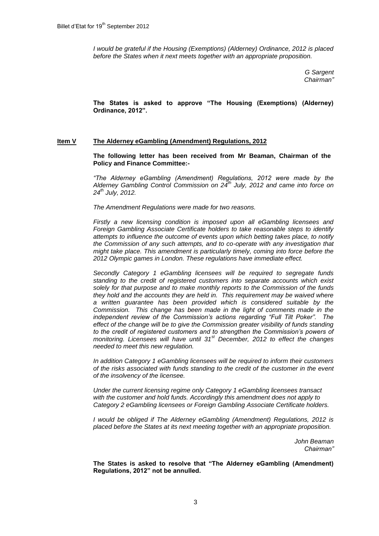*I would be grateful if the Housing (Exemptions) (Alderney) Ordinance, 2012 is placed before the States when it next meets together with an appropriate proposition.*

> *G Sargent Chairman"*

**The States is asked to approve "The Housing (Exemptions) (Alderney) Ordinance, 2012".** 

## **Item V The Alderney eGambling (Amendment) Regulations, 2012**

**The following letter has been received from Mr Beaman, Chairman of the Policy and Finance Committee:-**

*"The Alderney eGambling (Amendment) Regulations, 2012 were made by the Alderney Gambling Control Commission on 24th July, 2012 and came into force on 24th July, 2012.*

*The Amendment Regulations were made for two reasons.* 

*Firstly a new licensing condition is imposed upon all eGambling licensees and Foreign Gambling Associate Certificate holders to take reasonable steps to identify attempts to influence the outcome of events upon which betting takes place, to notify the Commission of any such attempts, and to co-operate with any investigation that might take place. This amendment is particularly timely, coming into force before the 2012 Olympic games in London. These regulations have immediate effect.*

*Secondly Category 1 eGambling licensees will be required to segregate funds standing to the credit of registered customers into separate accounts which exist solely for that purpose and to make monthly reports to the Commission of the funds they hold and the accounts they are held in. This requirement may be waived where a written guarantee has been provided which is considered suitable by the Commission. This change has been made in the light of comments made in the independent review of the Commission's actions regarding "Full Tilt Poker". The effect of the change will be to give the Commission greater visibility of funds standing to the credit of registered customers and to strengthen the Commission's powers of monitoring. Licensees will have until 31st December, 2012 to effect the changes needed to meet this new regulation.*

*In addition Category 1 eGambling licensees will be required to inform their customers of the risks associated with funds standing to the credit of the customer in the event of the insolvency of the licensee.*

*Under the current licensing regime only Category 1 eGambling licensees transact with the customer and hold funds. Accordingly this amendment does not apply to Category 2 eGambling licensees or Foreign Gambling Associate Certificate holders.*

*I would be obliged if The Alderney eGambling (Amendment) Regulations, 2012 is placed before the States at its next meeting together with an appropriate proposition.*

> *John Beaman Chairman"*

**The States is asked to resolve that "The Alderney eGambling (Amendment) Regulations, 2012" not be annulled.**